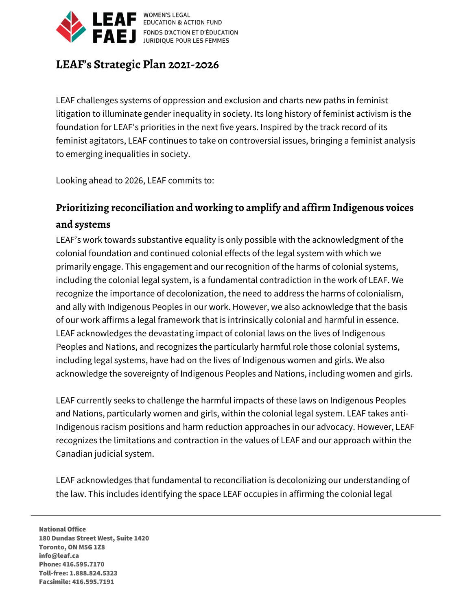

**WOMEN'S LEGAL** WOMEN'S LEGAL<br>EDUCATION & ACTION FUND FONDS D'ACTION ET D'ÉDUCATION

## **LEAF's Strategic Plan 2021-2026**

LEAF challenges systems of oppression and exclusion and charts new paths in feminist litigation to illuminate gender inequality in society. Its long history of feminist activism is the foundation for LEAF's priorities in the next five years. Inspired by the track record of its feminist agitators, LEAF continues to take on controversial issues, bringing a feminist analysis to emerging inequalities in society.

Looking ahead to 2026, LEAF commits to:

# **Prioritizing reconciliation and working to amplify and affirm Indigenous voices and systems**

LEAF's work towards substantive equality is only possible with the acknowledgment of the colonial foundation and continued colonial effects of the legal system with which we primarily engage. This engagement and our recognition of the harms of colonial systems, including the colonial legal system, is a fundamental contradiction in the work of LEAF. We recognize the importance of decolonization, the need to address the harms of colonialism, and ally with Indigenous Peoples in our work. However, we also acknowledge that the basis of our work affirms a legal framework that is intrinsically colonial and harmful in essence. LEAF acknowledges the devastating impact of colonial laws on the lives of Indigenous Peoples and Nations, and recognizes the particularly harmful role those colonial systems, including legal systems, have had on the lives of Indigenous women and girls. We also acknowledge the sovereignty of Indigenous Peoples and Nations, including women and girls.

LEAF currently seeks to challenge the harmful impacts of these laws on Indigenous Peoples and Nations, particularly women and girls, within the colonial legal system. LEAF takes anti-Indigenous racism positions and harm reduction approaches in our advocacy. However, LEAF recognizes the limitations and contraction in the values of LEAF and our approach within the Canadian judicial system.

LEAF acknowledges that fundamental to reconciliation is decolonizing our understanding of the law. This includes identifying the space LEAF occupies in affirming the colonial legal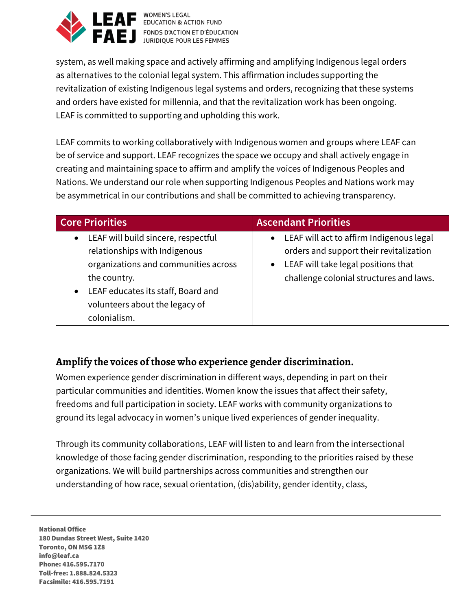

WOMEN'S LEGAL<br>BUCATION & ACTION FUND FONDS D'ACTION ET D'ÉDUCATION

system, as well making space and actively affirming and amplifying Indigenous legal orders as alternatives to the colonial legal system. This affirmation includes supporting the revitalization of existing Indigenous legal systems and orders, recognizing that these systems and orders have existed for millennia, and that the revitalization work has been ongoing. LEAF is committed to supporting and upholding this work.

LEAF commits to working collaboratively with Indigenous women and groups where LEAF can be of service and support. LEAF recognizes the space we occupy and shall actively engage in creating and maintaining space to affirm and amplify the voices of Indigenous Peoples and Nations. We understand our role when supporting Indigenous Peoples and Nations work may be asymmetrical in our contributions and shall be committed to achieving transparency.

| <b>Core Priorities</b>                                                                                                                                                                                                                         | <b>Ascendant Priorities</b>                                                                                                                                                          |
|------------------------------------------------------------------------------------------------------------------------------------------------------------------------------------------------------------------------------------------------|--------------------------------------------------------------------------------------------------------------------------------------------------------------------------------------|
| LEAF will build sincere, respectful<br>$\bullet$<br>relationships with Indigenous<br>organizations and communities across<br>the country.<br>LEAF educates its staff, Board and<br>$\bullet$<br>volunteers about the legacy of<br>colonialism. | • LEAF will act to affirm Indigenous legal<br>orders and support their revitalization<br>LEAF will take legal positions that<br>$\bullet$<br>challenge colonial structures and laws. |

### **Amplify the voices of those who experience gender discrimination.**

Women experience gender discrimination in different ways, depending in part on their particular communities and identities. Women know the issues that affect their safety, freedoms and full participation in society. LEAF works with community organizations to ground its legal advocacy in women's unique lived experiences of gender inequality.

Through its community collaborations, LEAF will listen to and learn from the intersectional knowledge of those facing gender discrimination, responding to the priorities raised by these organizations. We will build partnerships across communities and strengthen our understanding of how race, sexual orientation, (dis)ability, gender identity, class,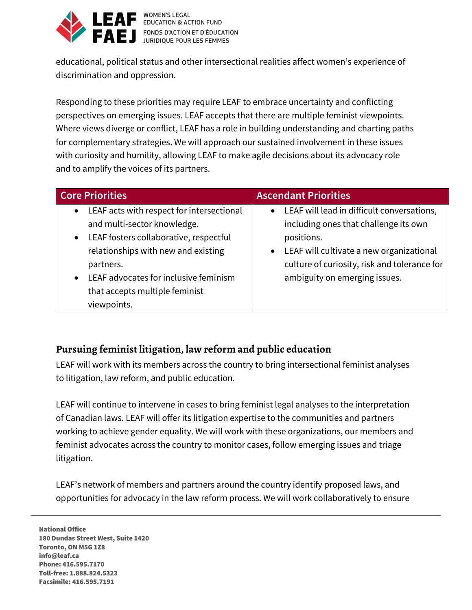

**WOMEN'S LEGAL** EDUCATION & ACTION FUND FONDS D'ACTION ET D'ÉDUCATION

educational, political status and other intersectional realities affect women's experience of discrimination and oppression.

Responding to these priorities may require LEAF to embrace uncertainty and conflicting perspectives on emerging issues. LEAF accepts that there are multiple feminist viewpoints. Where views diverge or conflict, LEAF has a role in building understanding and charting paths for complementary strategies. We will approach our sustained involvement in these issues with curiosity and humility, allowing LEAF to make agile decisions about its advocacy role and to amplify the voices of its partners.

| <b>Core Priorities</b>                                                                                                                                                                           | <b>Ascendant Priorities</b>                                                                                                                                                                       |  |
|--------------------------------------------------------------------------------------------------------------------------------------------------------------------------------------------------|---------------------------------------------------------------------------------------------------------------------------------------------------------------------------------------------------|--|
| LEAF acts with respect for intersectional<br>$\bullet$<br>and multi-sector knowledge.<br>LEAF fosters collaborative, respectful<br>$\bullet$<br>relationships with new and existing<br>partners. | • LEAF will lead in difficult conversations,<br>including ones that challenge its own<br>positions.<br>• LEAF will cultivate a new organizational<br>culture of curiosity, risk and tolerance for |  |
| LEAF advocates for inclusive feminism<br>$\bullet$<br>that accepts multiple feminist<br>viewpoints.                                                                                              | ambiguity on emerging issues.                                                                                                                                                                     |  |

### **Pursuing feminist litigation, law reform and public education**

LEAF will work with its members across the country to bring intersectional feminist analyses to litigation, law reform, and public education.

LEAF will continue to intervene in cases to bring feminist legal analyses to the interpretation of Canadian laws. LEAF will offer its litigation expertise to the communities and partners working to achieve gender equality. We will work with these organizations, our members and feminist advocates across the country to monitor cases, follow emerging issues and triage litigation.

LEAF's network of members and partners around the country identify proposed laws, and opportunities for advocacy in the law reform process. We will work collaboratively to ensure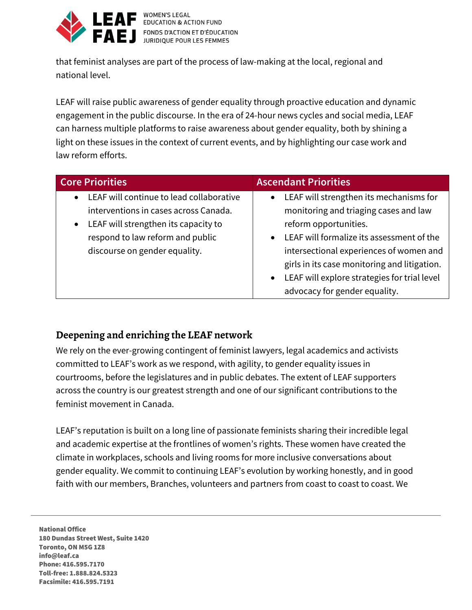

**WOMEN'S LEGAL EDUCATION & ACTION FUND** FONDS D'ACTION ET D'ÉDUCATION JURIDIQUE POUR LES FEMMES

that feminist analyses are part of the process of law-making at the local, regional and national level.

LEAF will raise public awareness of gender equality through proactive education and dynamic engagement in the public discourse. In the era of 24-hour news cycles and social media, LEAF can harness multiple platforms to raise awareness about gender equality, both by shining a light on these issues in the context of current events, and by highlighting our case work and law reform efforts.

| <b>Core Priorities</b>                                | <b>Ascendant Priorities</b>                               |  |
|-------------------------------------------------------|-----------------------------------------------------------|--|
| LEAF will continue to lead collaborative<br>$\bullet$ | LEAF will strengthen its mechanisms for<br>$\bullet$      |  |
| interventions in cases across Canada.                 | monitoring and triaging cases and law                     |  |
| LEAF will strengthen its capacity to<br>$\bullet$     | reform opportunities.                                     |  |
| respond to law reform and public                      | LEAF will formalize its assessment of the<br>$\bullet$    |  |
| discourse on gender equality.                         | intersectional experiences of women and                   |  |
|                                                       | girls in its case monitoring and litigation.              |  |
|                                                       | LEAF will explore strategies for trial level<br>$\bullet$ |  |
|                                                       | advocacy for gender equality.                             |  |

#### **Deepening and enriching the LEAF network**

We rely on the ever-growing contingent of feminist lawyers, legal academics and activists committed to LEAF's work as we respond, with agility, to gender equality issues in courtrooms, before the legislatures and in public debates. The extent of LEAF supporters across the country is our greatest strength and one of our significant contributions to the feminist movement in Canada.

LEAF's reputation is built on a long line of passionate feminists sharing their incredible legal and academic expertise at the frontlines of women's rights. These women have created the climate in workplaces, schools and living rooms for more inclusive conversations about gender equality. We commit to continuing LEAF's evolution by working honestly, and in good faith with our members, Branches, volunteers and partners from coast to coast to coast. We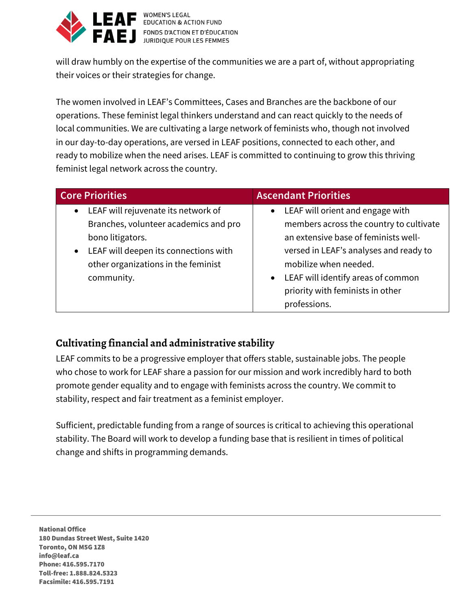

**WOMEN'S LEGAL** E WOMEN'S LEGAL<br>EDUCATION & ACTION FUND **AEJ** FONDS D'ACTION ET D'ÉDUCATION

will draw humbly on the expertise of the communities we are a part of, without appropriating their voices or their strategies for change.

The women involved in LEAF's Committees, Cases and Branches are the backbone of our operations. These feminist legal thinkers understand and can react quickly to the needs of local communities. We are cultivating a large network of feminists who, though not involved in our day-to-day operations, are versed in LEAF positions, connected to each other, and ready to mobilize when the need arises. LEAF is committed to continuing to grow this thriving feminist legal network across the country.

| <b>Core Priorities</b>                             | <b>Ascendant Priorities</b>                     |  |
|----------------------------------------------------|-------------------------------------------------|--|
| LEAF will rejuvenate its network of<br>$\bullet$   | • LEAF will orient and engage with              |  |
| Branches, volunteer academics and pro              | members across the country to cultivate         |  |
| bono litigators.                                   | an extensive base of feminists well-            |  |
| LEAF will deepen its connections with<br>$\bullet$ | versed in LEAF's analyses and ready to          |  |
| other organizations in the feminist                | mobilize when needed.                           |  |
| community.                                         | LEAF will identify areas of common<br>$\bullet$ |  |
|                                                    | priority with feminists in other                |  |
|                                                    | professions.                                    |  |

### **Cultivating financial and administrative stability**

LEAF commits to be a progressive employer that offers stable, sustainable jobs. The people who chose to work for LEAF share a passion for our mission and work incredibly hard to both promote gender equality and to engage with feminists across the country. We commit to stability, respect and fair treatment as a feminist employer.

Sufficient, predictable funding from a range of sources is critical to achieving this operational stability. The Board will work to develop a funding base that is resilient in times of political change and shifts in programming demands.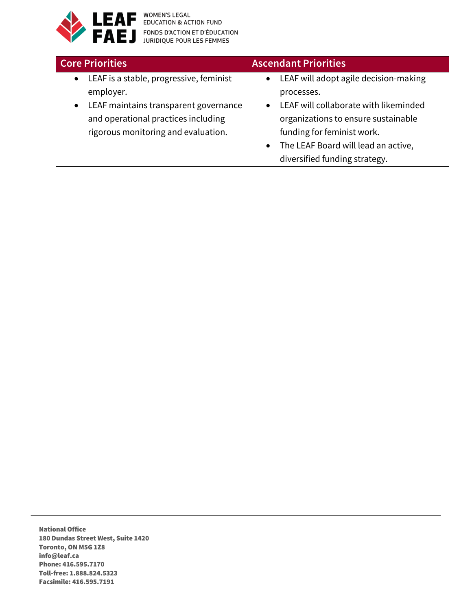

**EAF** FONDS D'ACTION ET D'ÉDUCATION

| <b>Core Priorities</b>                               | <b>Ascendant Priorities</b>                      |
|------------------------------------------------------|--------------------------------------------------|
| LEAF is a stable, progressive, feminist<br>$\bullet$ | • LEAF will adopt agile decision-making          |
| employer.                                            | processes.                                       |
| LEAF maintains transparent governance<br>$\bullet$   | LEAF will collaborate with likeminded            |
| and operational practices including                  | organizations to ensure sustainable              |
| rigorous monitoring and evaluation.                  | funding for feminist work.                       |
|                                                      | The LEAF Board will lead an active,<br>$\bullet$ |
|                                                      | diversified funding strategy.                    |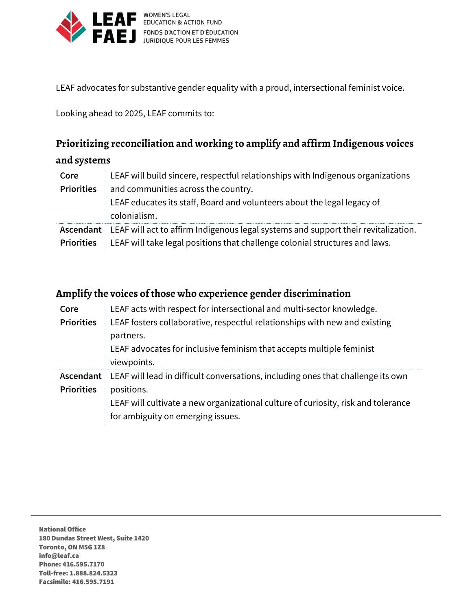

LEAF EDUCATION & ACTION FUND<br>FAEJ FONDS D'ACTION ET D'ÉDUCATION

LEAF advocates for substantive gender equality with a proud, intersectional feminist voice.

Looking ahead to 2025, LEAF commits to:

### **Prioritizing reconciliation and working to amplify and affirm Indigenous voices**

#### **and systems**

| Core              | LEAF will build sincere, respectful relationships with Indigenous organizations              |
|-------------------|----------------------------------------------------------------------------------------------|
| <b>Priorities</b> | and communities across the country.                                                          |
|                   | LEAF educates its staff, Board and volunteers about the legal legacy of                      |
|                   | colonialism.                                                                                 |
|                   | Ascendant LEAF will act to affirm Indigenous legal systems and support their revitalization. |
| <b>Priorities</b> | LEAF will take legal positions that challenge colonial structures and laws.                  |

#### **Amplify the voices of those who experience gender discrimination**

| Core              | LEAF acts with respect for intersectional and multi-sector knowledge.             |
|-------------------|-----------------------------------------------------------------------------------|
| <b>Priorities</b> | LEAF fosters collaborative, respectful relationships with new and existing        |
|                   | partners.                                                                         |
|                   | LEAF advocates for inclusive feminism that accepts multiple feminist              |
|                   | viewpoints.                                                                       |
| Ascendant         | LEAF will lead in difficult conversations, including ones that challenge its own  |
| <b>Priorities</b> | positions.                                                                        |
|                   | LEAF will cultivate a new organizational culture of curiosity, risk and tolerance |
|                   | for ambiguity on emerging issues.                                                 |